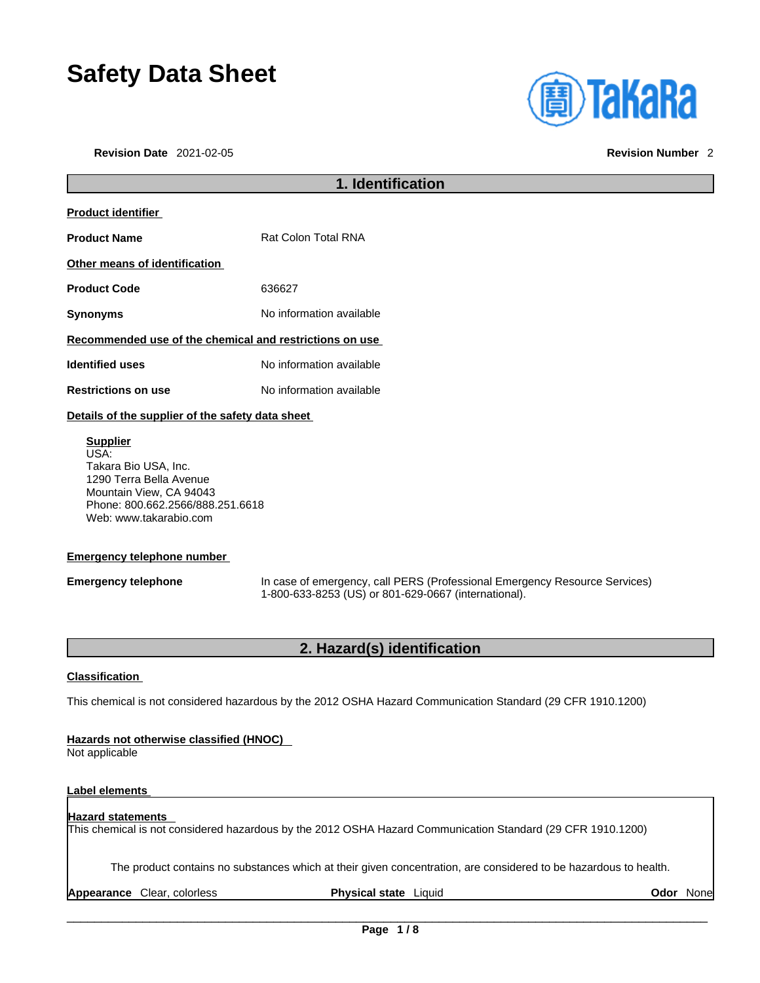# **Safety Data Sheet**

**Revision Date** 2021-02-05 **Revision Number** 2

| <b>(<u>a)</u> TaKaRa</b> |  |  |
|--------------------------|--|--|
|                          |  |  |
|                          |  |  |

# **1. Identification Product identifier Product Name** Rat Colon Total RNA **Other means of identification Product Code** 636627 **Synonyms** No information available **Recommended use of the chemical and restrictions on use Identified uses** No information available **Restrictions on use** No information available **Details of the supplier of the safety data sheet**

**Supplier** USA: Takara Bio USA, Inc. 1290 Terra Bella Avenue Mountain View, CA 94043 Phone: 800.662.2566/888.251.6618 Web: www.takarabio.com

# **Emergency telephone number**

**Emergency telephone** In case of emergency, call PERS (Professional Emergency Resource Services) 1-800-633-8253 (US) or 801-629-0667 (international).

# **2. Hazard(s) identification**

# **Classification**

This chemical is not considered hazardous by the 2012 OSHA Hazard Communication Standard (29 CFR 1910.1200)

# **Hazards not otherwise classified (HNOC)**

Not applicable

# **Label elements**

### **Hazard statements**  This chemical is not considered hazardous by the 2012 OSHA Hazard Communication Standard (29 CFR 1910.1200)

The product contains no substances which at their given concentration, are considered to be hazardous to health.

**Appearance** Clear, colorless **Physical state** Liquid **Odor** None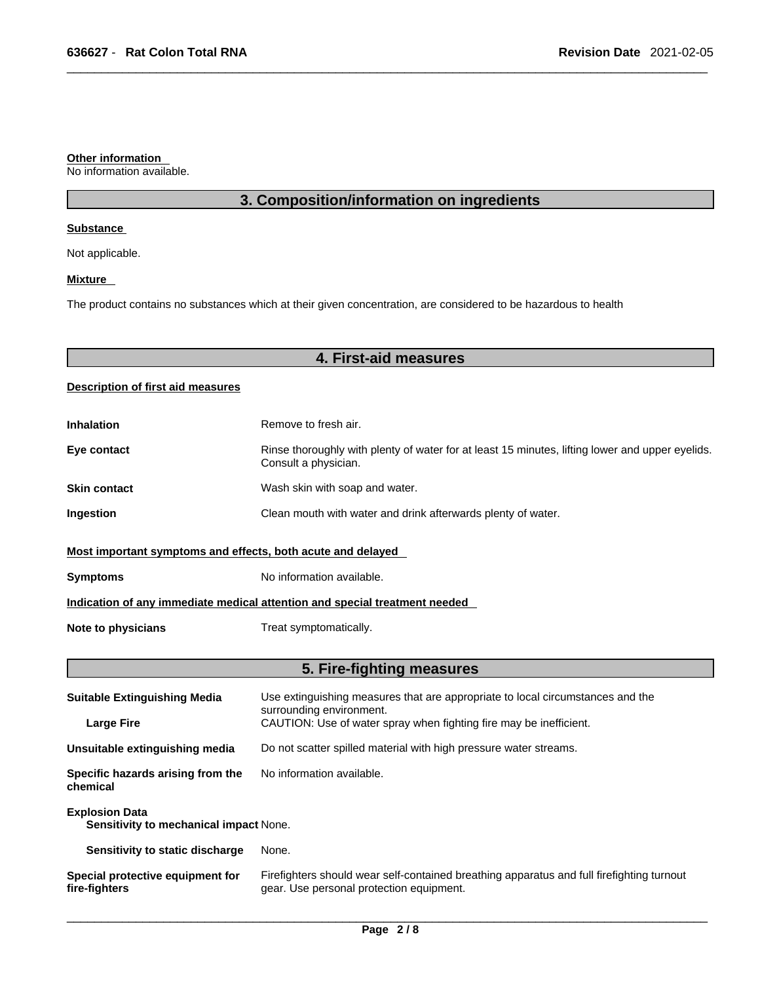### **Other information**

No information available.

# **3. Composition/information on ingredients**

## **Substance**

Not applicable.

# **Mixture**

The product contains no substances which at their given concentration, are considered to be hazardous to health

# **4. First-aid measures**

# **Description of first aid measures**

| <b>Inhalation</b>                                                          | Remove to fresh air.                                                                                                    |  |
|----------------------------------------------------------------------------|-------------------------------------------------------------------------------------------------------------------------|--|
| Eye contact                                                                | Rinse thoroughly with plenty of water for at least 15 minutes, lifting lower and upper eyelids.<br>Consult a physician. |  |
| <b>Skin contact</b>                                                        | Wash skin with soap and water.                                                                                          |  |
| <b>Ingestion</b>                                                           | Clean mouth with water and drink afterwards plenty of water.                                                            |  |
| Most important symptoms and effects, both acute and delayed                |                                                                                                                         |  |
| <b>Symptoms</b>                                                            | No information available.                                                                                               |  |
| Indication of any immediate medical attention and special treatment needed |                                                                                                                         |  |
| Note to physicians                                                         | Treat symptomatically.                                                                                                  |  |

# **5. Fire-fighting measures**

| <b>Suitable Extinguishing Media</b>                             | Use extinguishing measures that are appropriate to local circumstances and the<br>surrounding environment.                            |  |
|-----------------------------------------------------------------|---------------------------------------------------------------------------------------------------------------------------------------|--|
| <b>Large Fire</b>                                               | CAUTION: Use of water spray when fighting fire may be inefficient.                                                                    |  |
| Unsuitable extinguishing media                                  | Do not scatter spilled material with high pressure water streams.                                                                     |  |
| Specific hazards arising from the<br>chemical                   | No information available.                                                                                                             |  |
| <b>Explosion Data</b><br>Sensitivity to mechanical impact None. |                                                                                                                                       |  |
| Sensitivity to static discharge                                 | None.                                                                                                                                 |  |
| Special protective equipment for<br>fire-fighters               | Firefighters should wear self-contained breathing apparatus and full firefighting turnout<br>gear. Use personal protection equipment. |  |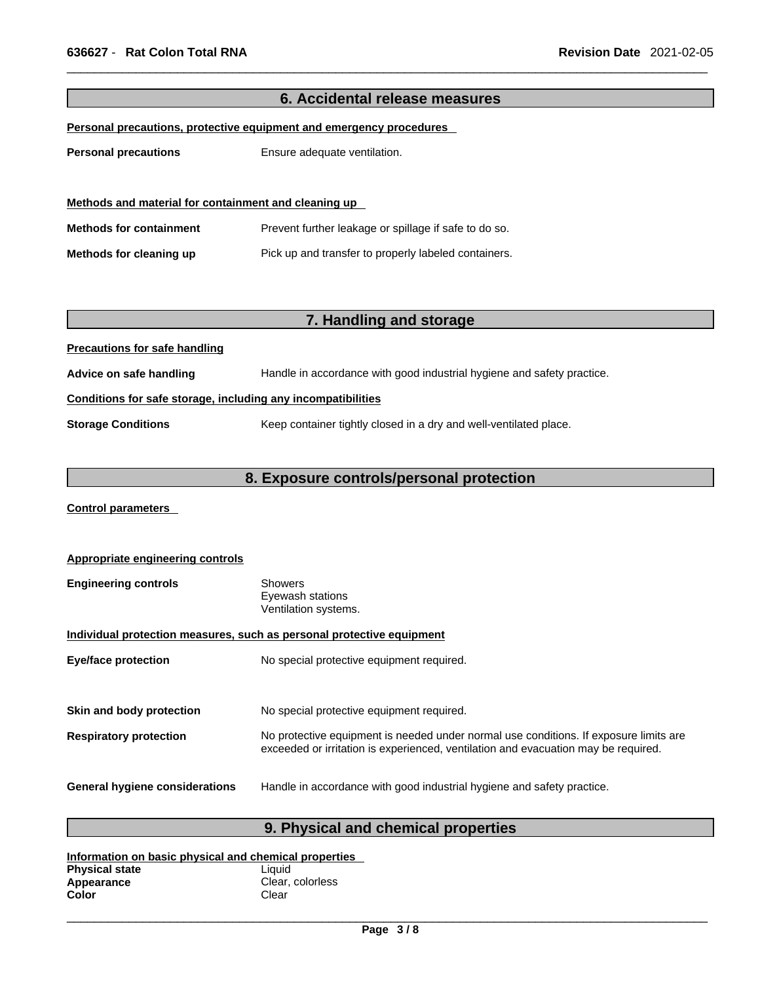| 6. Accidental release measures                               |                                                                        |  |  |
|--------------------------------------------------------------|------------------------------------------------------------------------|--|--|
|                                                              | Personal precautions, protective equipment and emergency procedures    |  |  |
| <b>Personal precautions</b>                                  | Ensure adequate ventilation.                                           |  |  |
|                                                              |                                                                        |  |  |
|                                                              |                                                                        |  |  |
| Methods and material for containment and cleaning up         |                                                                        |  |  |
| <b>Methods for containment</b>                               | Prevent further leakage or spillage if safe to do so.                  |  |  |
| Methods for cleaning up                                      | Pick up and transfer to properly labeled containers.                   |  |  |
|                                                              |                                                                        |  |  |
|                                                              |                                                                        |  |  |
|                                                              | 7. Handling and storage                                                |  |  |
| <b>Precautions for safe handling</b>                         |                                                                        |  |  |
| Advice on safe handling                                      | Handle in accordance with good industrial hygiene and safety practice. |  |  |
| Conditions for safe storage, including any incompatibilities |                                                                        |  |  |
| <b>Storage Conditions</b>                                    | Keep container tightly closed in a dry and well-ventilated place.      |  |  |
|                                                              |                                                                        |  |  |
| 8. Exposure controls/personal protection                     |                                                                        |  |  |
|                                                              |                                                                        |  |  |
| <b>Control parameters</b>                                    |                                                                        |  |  |
|                                                              |                                                                        |  |  |
| <b>Appropriate engineering controls</b>                      |                                                                        |  |  |

| <b>Engineering controls</b> | Showers              |  |
|-----------------------------|----------------------|--|
|                             | Eyewash stations     |  |
|                             | Ventilation systems. |  |

# **Individual protection measures, such as personal protective equipment**

| <b>Eye/face protection</b>            | No special protective equipment required.                                                                                                                                   |
|---------------------------------------|-----------------------------------------------------------------------------------------------------------------------------------------------------------------------------|
| Skin and body protection              | No special protective equipment required.                                                                                                                                   |
| <b>Respiratory protection</b>         | No protective equipment is needed under normal use conditions. If exposure limits are<br>exceeded or irritation is experienced, ventilation and evacuation may be required. |
| <b>General hygiene considerations</b> | Handle in accordance with good industrial hygiene and safety practice.                                                                                                      |

# **9. Physical and chemical properties**

| Information on basic physical and chemical properties |                  |  |
|-------------------------------------------------------|------------------|--|
| <b>Physical state</b>                                 | Liauid           |  |
| Appearance                                            | Clear, colorless |  |
| Color                                                 | Clear            |  |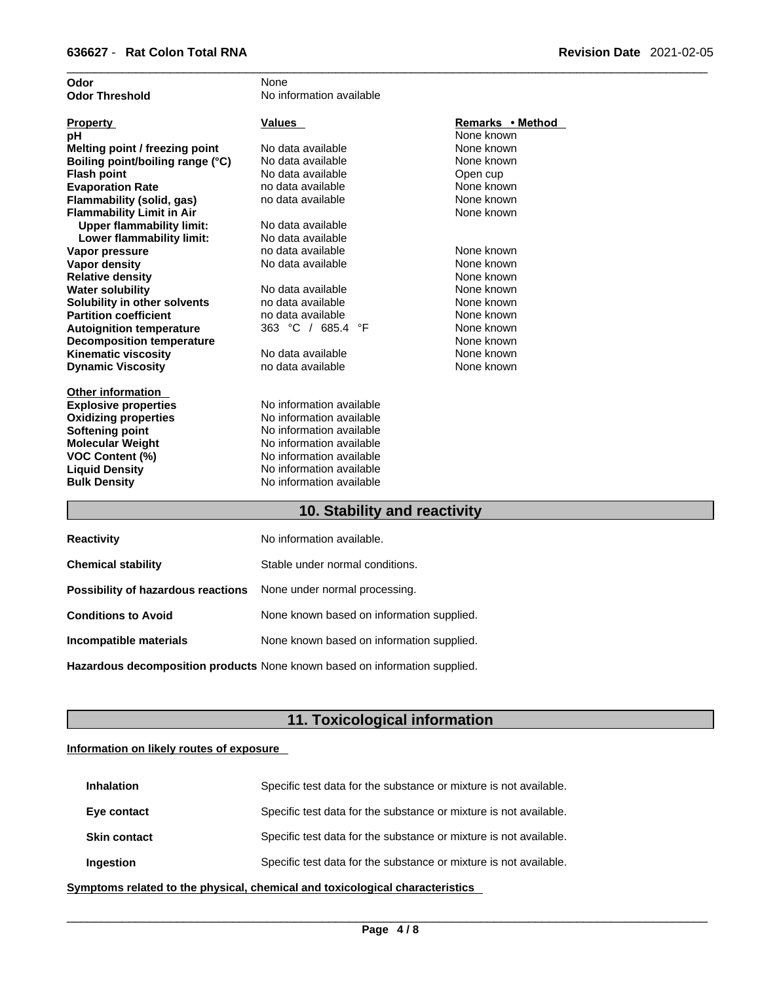| Odor                             | None                     |                  |
|----------------------------------|--------------------------|------------------|
| <b>Odor Threshold</b>            | No information available |                  |
| <b>Property</b>                  | Values                   | Remarks • Method |
| рH                               |                          | None known       |
| Melting point / freezing point   | No data available        | None known       |
| Boiling point/boiling range (°C) | No data available        | None known       |
| <b>Flash point</b>               | No data available        | Open cup         |
| <b>Evaporation Rate</b>          | no data available        | None known       |
| Flammability (solid, gas)        | no data available        | None known       |
| <b>Flammability Limit in Air</b> |                          | None known       |
| <b>Upper flammability limit:</b> | No data available        |                  |
| Lower flammability limit:        | No data available        |                  |
| Vapor pressure                   | no data available        | None known       |
| Vapor density                    | No data available        | None known       |
| <b>Relative density</b>          |                          | None known       |
| <b>Water solubility</b>          | No data available        | None known       |
| Solubility in other solvents     | no data available        | None known       |
| <b>Partition coefficient</b>     | no data available        | None known       |
| <b>Autoignition temperature</b>  | 363 °C / 685.4 °F        | None known       |
| <b>Decomposition temperature</b> |                          | None known       |
| <b>Kinematic viscosity</b>       | No data available        | None known       |
| <b>Dynamic Viscosity</b>         | no data available        | None known       |
| <b>Other information</b>         |                          |                  |
| <b>Explosive properties</b>      | No information available |                  |
| <b>Oxidizing properties</b>      | No information available |                  |
| <b>Softening point</b>           | No information available |                  |
| <b>Molecular Weight</b>          | No information available |                  |
| <b>VOC Content (%)</b>           | No information available |                  |
| <b>Liquid Density</b>            | No information available |                  |
| <b>Bulk Density</b>              | No information available |                  |
|                                  |                          |                  |

# **10. Stability and reactivity 10. Stability and reactivity**

| <b>Reactivity</b>                                                       | No information available.                 |
|-------------------------------------------------------------------------|-------------------------------------------|
| <b>Chemical stability</b>                                               | Stable under normal conditions.           |
| <b>Possibility of hazardous reactions</b> None under normal processing. |                                           |
| <b>Conditions to Avoid</b>                                              | None known based on information supplied. |
| Incompatible materials                                                  | None known based on information supplied. |
|                                                                         |                                           |

**Hazardous decomposition products** None known based on information supplied.

# **11. Toxicological information**

# **Information on likely routes of exposure**

| <b>Inhalation</b>   | Specific test data for the substance or mixture is not available. |
|---------------------|-------------------------------------------------------------------|
| Eye contact         | Specific test data for the substance or mixture is not available. |
| <b>Skin contact</b> | Specific test data for the substance or mixture is not available. |
| Ingestion           | Specific test data for the substance or mixture is not available. |

**<u>Symptoms related to the physical, chemical and toxicological characteristics</u>**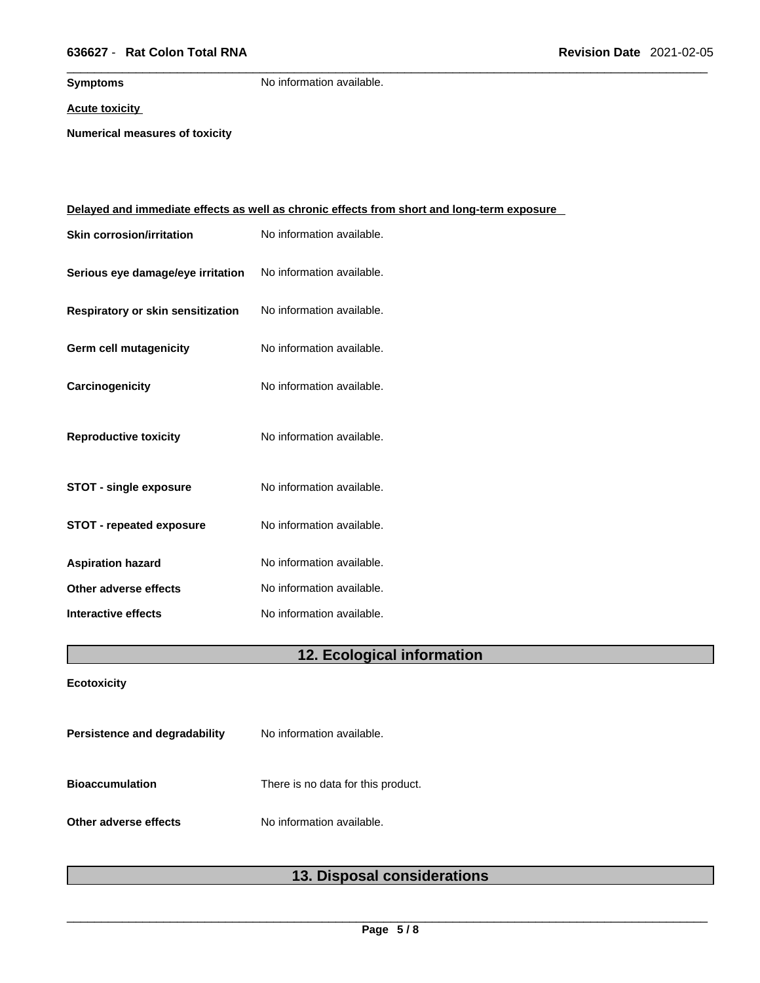# \_\_\_\_\_\_\_\_\_\_\_\_\_\_\_\_\_\_\_\_\_\_\_\_\_\_\_\_\_\_\_\_\_\_\_\_\_\_\_\_\_\_\_\_\_\_\_\_\_\_\_\_\_\_\_\_\_\_\_\_\_\_\_\_\_\_\_\_\_\_\_\_\_\_\_\_\_\_\_\_\_\_\_\_\_\_\_\_\_\_\_\_\_ **636627** - **Rat Colon Total RNA Revision Date** 2021-02-05

**Symptoms** No information available.

**Acute toxicity**

**Numerical measures of toxicity**

| Delayed and immediate effects as well as chronic effects from short and long-term exposure |                           |  |
|--------------------------------------------------------------------------------------------|---------------------------|--|
| <b>Skin corrosion/irritation</b>                                                           | No information available. |  |
| Serious eye damage/eye irritation                                                          | No information available. |  |
| Respiratory or skin sensitization                                                          | No information available. |  |
| <b>Germ cell mutagenicity</b>                                                              | No information available. |  |
| Carcinogenicity                                                                            | No information available. |  |
| <b>Reproductive toxicity</b>                                                               | No information available. |  |
| <b>STOT - single exposure</b>                                                              | No information available. |  |
| <b>STOT - repeated exposure</b>                                                            | No information available. |  |
| <b>Aspiration hazard</b>                                                                   | No information available. |  |
| Other adverse effects                                                                      | No information available. |  |
| Interactive effects                                                                        | No information available. |  |
|                                                                                            |                           |  |

# **12. Ecological information**

**Ecotoxicity** 

L

| Persistence and degradability | No information available.          |
|-------------------------------|------------------------------------|
| <b>Bioaccumulation</b>        | There is no data for this product. |
| Other adverse effects         | No information available.          |

# **13. Disposal considerations**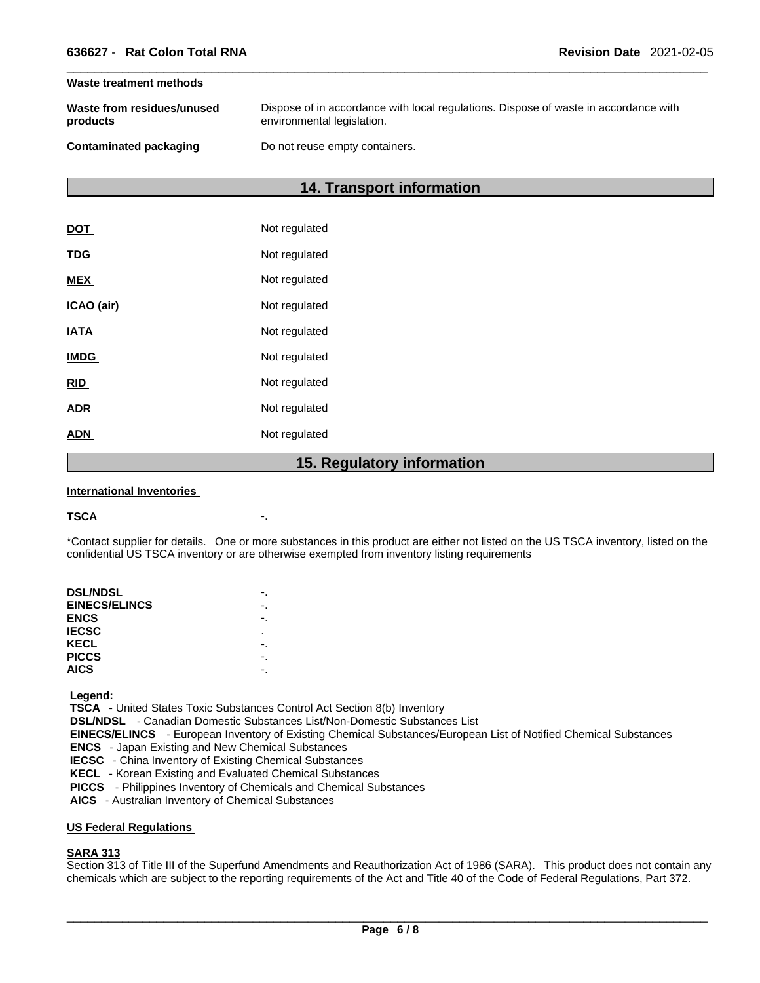### **Waste treatment methods**

| Waste from residues/unused    | Dispose of in accordance with local regulations. Dispose of waste in accordance with |
|-------------------------------|--------------------------------------------------------------------------------------|
| products                      | environmental legislation.                                                           |
| <b>Contaminated packaging</b> | Do not reuse empty containers.                                                       |

# **14. Transport information**

|             | 15. Regulatory information |
|-------------|----------------------------|
| <b>ADN</b>  | Not regulated              |
| <b>ADR</b>  | Not regulated              |
| <b>RID</b>  | Not regulated              |
| <b>IMDG</b> | Not regulated              |
| <b>IATA</b> | Not regulated              |
| ICAO (air)  | Not regulated              |
| <b>MEX</b>  | Not regulated              |
| <b>TDG</b>  | Not regulated              |
| <b>DOT</b>  | Not regulated              |

### **International Inventories**

### **TSCA** -.

\*Contact supplier for details. One or more substances in this product are either not listed on the US TSCA inventory, listed on the confidential US TSCA inventory or are otherwise exempted from inventory listing requirements

| <b>DSL/NDSL</b>      |   |
|----------------------|---|
| <b>EINECS/ELINCS</b> |   |
| <b>ENCS</b>          |   |
| <b>IECSC</b>         | ٠ |
| KECL                 |   |
| <b>PICCS</b>         |   |
| <b>AICS</b>          |   |
|                      |   |

 **Legend:** 

 **TSCA** - United States Toxic Substances Control Act Section 8(b) Inventory

 **DSL/NDSL** - Canadian Domestic Substances List/Non-Domestic Substances List

 **EINECS/ELINCS** - European Inventory of Existing Chemical Substances/European List of Notified Chemical Substances

 **ENCS** - Japan Existing and New Chemical Substances

 **IECSC** - China Inventory of Existing Chemical Substances

 **KECL** - Korean Existing and Evaluated Chemical Substances

 **PICCS** - Philippines Inventory of Chemicals and Chemical Substances

 **AICS** - Australian Inventory of Chemical Substances

## **US Federal Regulations**

# **SARA 313**

Section 313 of Title III of the Superfund Amendments and Reauthorization Act of 1986 (SARA). This product does not contain any chemicals which are subject to the reporting requirements of the Act and Title 40 of the Code of Federal Regulations, Part 372.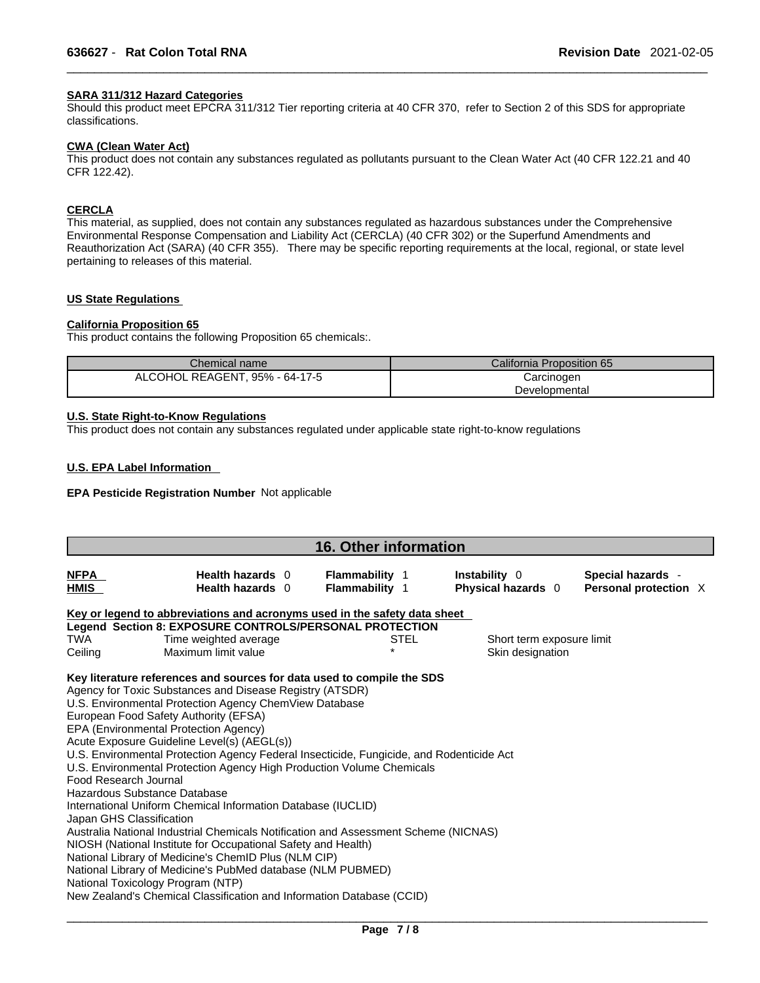# **SARA 311/312 Hazard Categories**

Should this product meet EPCRA 311/312 Tier reporting criteria at 40 CFR 370, refer to Section 2 of this SDS for appropriate classifications.

### **CWA (Clean WaterAct)**

This product does not contain any substances regulated as pollutants pursuant to the Clean Water Act (40 CFR 122.21 and 40 CFR 122.42).

# **CERCLA**

This material, as supplied, does not contain any substances regulated as hazardous substances under the Comprehensive Environmental Response Compensation and Liability Act (CERCLA) (40 CFR 302) or the Superfund Amendments and Reauthorization Act (SARA) (40 CFR 355). There may be specific reporting requirements at the local, regional, or state level pertaining to releases of this material.

# **US State Regulations**

### **California Proposition 65**

This product contains the following Proposition 65 chemicals:.

| Chemical name                  | California Proposition 65 |  |  |  |
|--------------------------------|---------------------------|--|--|--|
| ALCOHOL REAGENT, 95% - 64-17-5 | Carcinogen                |  |  |  |
|                                | Developmental             |  |  |  |

# **U.S. State Right-to-Know Regulations**

This product does not contain any substances regulated under applicable state right-to-know regulations

### **U.S. EPA Label Information**

### **EPA Pesticide Registration Number** Not applicable

| <b>16. Other information</b>                                                      |                                                                                                                                                                                                                                                                                                                                                                                                                                                                                                                                                                                                                                                                                                                                                                                                                                                                                                                                                                 |                                                |             |                                               |                                            |  |
|-----------------------------------------------------------------------------------|-----------------------------------------------------------------------------------------------------------------------------------------------------------------------------------------------------------------------------------------------------------------------------------------------------------------------------------------------------------------------------------------------------------------------------------------------------------------------------------------------------------------------------------------------------------------------------------------------------------------------------------------------------------------------------------------------------------------------------------------------------------------------------------------------------------------------------------------------------------------------------------------------------------------------------------------------------------------|------------------------------------------------|-------------|-----------------------------------------------|--------------------------------------------|--|
| <b>NFPA</b><br><b>HMIS</b>                                                        | Health hazards 0<br>Health hazards 0                                                                                                                                                                                                                                                                                                                                                                                                                                                                                                                                                                                                                                                                                                                                                                                                                                                                                                                            | <b>Flammability 1</b><br><b>Flammability 1</b> |             | Instability 0<br>Physical hazards 0           | Special hazards -<br>Personal protection X |  |
|                                                                                   | Key or legend to abbreviations and acronyms used in the safety data sheet                                                                                                                                                                                                                                                                                                                                                                                                                                                                                                                                                                                                                                                                                                                                                                                                                                                                                       |                                                |             |                                               |                                            |  |
|                                                                                   | Legend Section 8: EXPOSURE CONTROLS/PERSONAL PROTECTION                                                                                                                                                                                                                                                                                                                                                                                                                                                                                                                                                                                                                                                                                                                                                                                                                                                                                                         |                                                |             |                                               |                                            |  |
| <b>TWA</b><br>Ceiling                                                             | Time weighted average<br>Maximum limit value                                                                                                                                                                                                                                                                                                                                                                                                                                                                                                                                                                                                                                                                                                                                                                                                                                                                                                                    |                                                | <b>STEL</b> | Short term exposure limit<br>Skin designation |                                            |  |
| Food Research Journal<br>Hazardous Substance Database<br>Japan GHS Classification | Key literature references and sources for data used to compile the SDS<br>Agency for Toxic Substances and Disease Registry (ATSDR)<br>U.S. Environmental Protection Agency ChemView Database<br>European Food Safety Authority (EFSA)<br>EPA (Environmental Protection Agency)<br>Acute Exposure Guideline Level(s) (AEGL(s))<br>U.S. Environmental Protection Agency Federal Insecticide, Fungicide, and Rodenticide Act<br>U.S. Environmental Protection Agency High Production Volume Chemicals<br>International Uniform Chemical Information Database (IUCLID)<br>Australia National Industrial Chemicals Notification and Assessment Scheme (NICNAS)<br>NIOSH (National Institute for Occupational Safety and Health)<br>National Library of Medicine's ChemID Plus (NLM CIP)<br>National Library of Medicine's PubMed database (NLM PUBMED)<br>National Toxicology Program (NTP)<br>New Zealand's Chemical Classification and Information Database (CCID) |                                                |             |                                               |                                            |  |